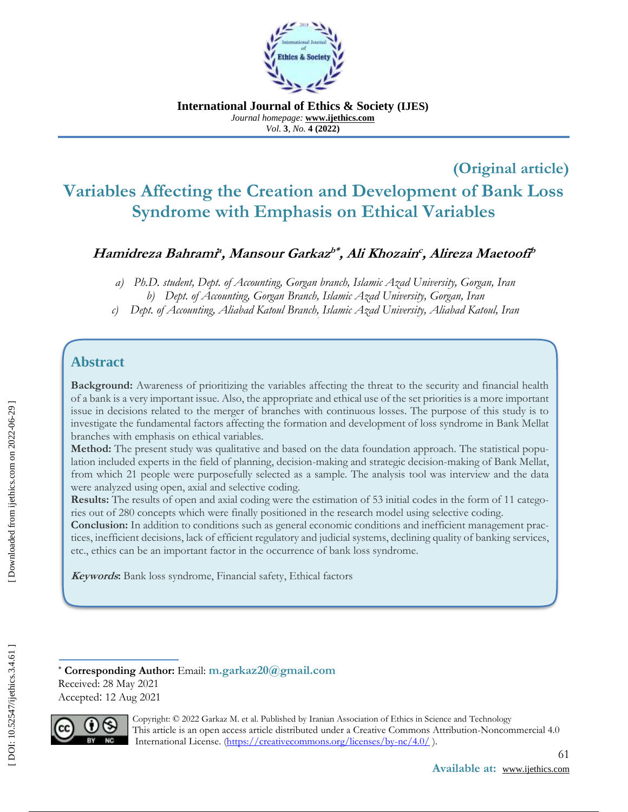

**International Journal of Ethics & Society (IJES)** *Journal homepage:* **www.ijethics.com** *Vol.*  **3***, No.* **4 (2022 )**

# **Variables Affecting the Creation and Development of Bank Loss Syndrome with Emphasis on Ethical Variables**

### **Hamidreza Bahrami<sup>a</sup> , Mansour Garkaz b\* , Ali Khozain<sup>c</sup> , Alireza Maetoofi<sup>b</sup>**

## **Abstract**

(Original article)<br>
ent of Bank Loss<br>
Cariables<br>
Alireza Maetooff<sup>p</sup><br>
versity, Gorgan, Iran<br>
Gorgan, Iran<br>
Aliabad Katoul, Iran<br>
Aliabad Katoul, Iran<br>
accurity and financial health<br>
ionities is a more important<br>
purpose of **Background:** Awareness of prioritizing the variables affecting the threat to the security and financial health of a bank is a very important issue. Also, the appropriate and ethical use of the set priorities is a more important issue in decisions related to the merger of branches with continuous losses. The purpose of this study is to investigate the fundamental factors affecting the formation and development of loss syndrome in Bank Mellat branches with emphasis on ethical variables.

**Method:** The present study was qualitative and based on the data foundation approach. The statistical population included experts in the field of planning, decision-making and strategic decision-making of Bank Mellat, from which 21 people were purposefully selected as a sample. The analysis tool was interview and the data were analyzed using open, axial and selective coding.

**Results:** The results of open and axial coding were the estimation of 53 initial codes in the form of 11 categories out of 280 concepts which were finally positioned in the research model using selective coding.

**Conclusion:** In addition to conditions such as general economic conditions and inefficient management practices, inefficient decisions, lack of efficient regulatory and judicial systems, declining quality of banking services, etc., ethics can be an important factor in the occurrence of bank loss syndrome.

**Keywords:** Bank loss syndrome, Financial safety, Ethical factors

**Corresponding Author:** Email: **[m.garkaz20@gmail.com](mailto:m.garkaz20@gmail.com)** Received: 28 May 2021 Accepted : 12 Aug 2021



Copyright: © 2022 Garkaz M. et al. Published by Iranian Association of Ethics in Science and Technology **CC** This article is an open access article distributed under a Creative Commons Attribution-Noncommercial 4.0 BY NC International License. [\(https://creativecommons.org/licenses/by](https://creativecommons.org/licenses/by-nc/4.0/)-nc/4.0/).

*a) Ph.D. student, Dept. of Accounting, Gorgan branch, Islamic Azad University, Gorgan, Iran*

*b) Dept. of Accounting, Gorgan Branch, Islamic Azad University, Gorgan, Iran*

c) Dept. of Accounting, Aliabad Katoul Branch, Islamic Azad University, Aliabad Katoul, Iran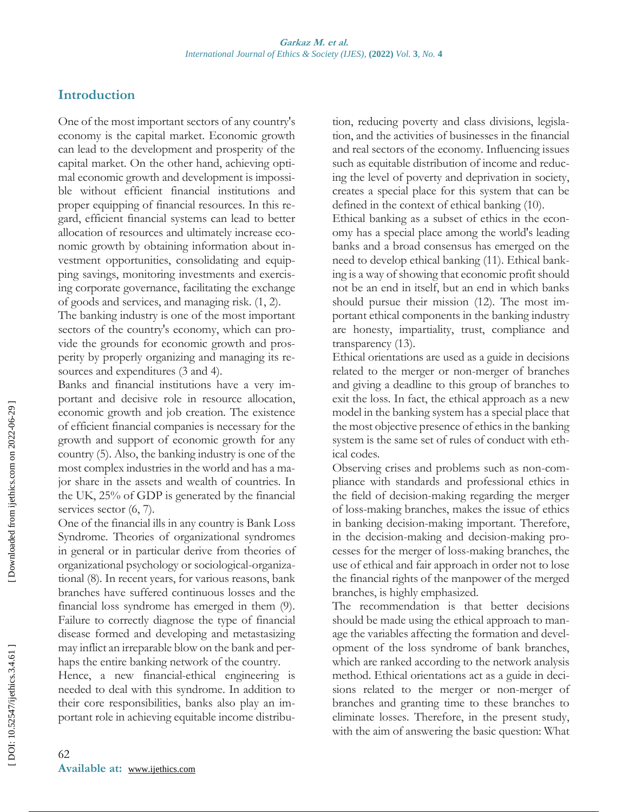# **Introduction**

One of the most important sectors of any country's economy is the capital market. Economic growth can lead to the development and prosperity of the capital market. On the other hand, achieving optimal economic growth and development is impossible without efficient financial institutions and proper equipping of financial resources. In this regard, efficient financial systems can lead to better allocation of resources and ultimately increase economic growth by obtaining information about investment opportunities, consolidating and equipping savings, monitoring investments and exercising corporate governance, facilitating the exchange of goods and services, and managing risk. (1, 2).

The banking industry is one of the most important sectors of the country's economy, which can provide the grounds for economic growth and prosperity by properly organizing and managing its resources and expenditures (3 and 4).

Banks and financial institutions have a very important and decisive role in resource allocation, economic growth and job creation. The existence of efficient financial companies is necessary for the growth and support of economic growth for any country (5). Also, the banking industry is one of the most complex industries in the world and has a major share in the assets and wealth of countries. In the UK, 25% of GDP is generated by the financial services sector  $(6, 7)$ .

One of the financial ills in any country is Bank Loss Syndrome. Theories of organizational syndromes in general or in particular derive from theories of organizational psychology or sociological -organizational (8). In recent years, for various reasons, bank branches have suffered continuous losses and the financial loss syndrome has emerged in them (9). Failure to correctly diagnose the type of financial disease formed and developing and metastasizing may inflict an irreparable blow on the bank and perhaps the entire banking network of the country.

Hence, a new financial -ethical engineering is needed to deal with this syndrome. In addition to their core responsibilities, banks also play an important role in achieving equitable income distribution, reducing poverty and class divisions, legislation, and the activities of businesses in the financial and real sectors of the economy. Influencing issues such as equitable distribution of income and reducing the level of poverty and deprivation in society, creates a special place for this system that can be defined in the context of ethical banking (10).

Ethical banking as a subset of ethics in the economy has a special place among the world's leading banks and a broad consensus has emerged on the need to develop ethical banking (11). Ethical banking is a way of showing that economic profit should not be an end in itself, but an end in which banks should pursue their mission (12). The most important ethical components in the banking industry are honesty, impartiality, trust, compliance and transparency (13).

Ethical orientations are used as a guide in decisions related to the merger or non -merger of branches and giving a deadline to this group of branches to exit the loss. In fact, the ethical approach as a new model in the banking system has a special place that the most objective presence of ethics in the banking system is the same set of rules of conduct with ethical codes.

Observing crises and problems such as non -compliance with standards and professional ethics in the field of decision -making regarding the merger of loss -making branches, makes the issue of ethics in banking decision -making important. Therefore, in the decision -making and decision -making processes for the merger of loss-making branches, the use of ethical and fair approach in order not to lose the financial rights of the manpower of the merged branches, is highly emphasized.

The recommendation is that better decisions should be made using the ethical approach to manage the variables affecting the formation and development of the loss syndrome of bank branches, which are ranked according to the network analysis method. Ethical orientations act as a guide in decisions related to the merger or non-merger of branches and granting time to these branches to eliminate losses. Therefore, in the present study, with the aim of answering the basic question: What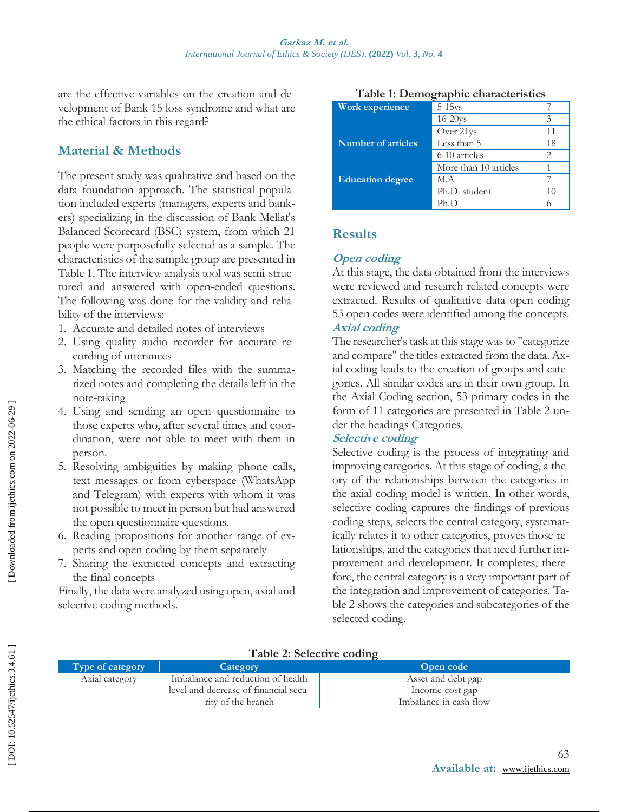are the effective variables on the creation and development of Bank 15 loss syndrome and what are the ethical factors in this regard?

### **Material & Methods**

The present study was qualitative and based on the data foundation approach. The statistical population included experts (managers, experts and bankers) specializing in the discussion of Bank Mellat's Balanced Scorecard (BSC) system, from which 21 people were purposefully selected as a sample. The characteristics of the sample group are presented in Table 1. The interview analysis tool was semi -structured and answered with open-ended questions. The following was done for the validity and reliability of the interviews: 1. Accurate and detailed notes of interviews 2. Using quality audio recorder for accurate re-

- 
- 
- cording of utterances 3. Matching the recorded files with the summarized notes and completing the details left in the note -taking
- 4 . Using and sending an open questionnaire to those experts who, after several times and coordination, were not able to meet with them in person.
- 5 . Resolving ambiguities by making phone calls, text messages or from cyberspace (WhatsApp and Telegram) with experts with whom it was not possible to meet in person but had answered the open questionnaire questions.
- 6 . Reading propositions for another range of experts and open coding by them separately
- 7 . Sharing the extracted concepts and extracting the final concepts

Finally, the data were analyzed using open, axial and selective coding methods.

Axial category **I** Imbalance and reduction of health

| <b>Work experience</b>    | $5-15$ ys             |    |  |
|---------------------------|-----------------------|----|--|
|                           | $16-20$ ys            | 3  |  |
|                           | Over 21ys             | 11 |  |
| <b>Number of articles</b> | Less than 5           | 18 |  |
|                           | 6-10 articles         | っ  |  |
|                           | More than 10 articles |    |  |
| <b>Education degree</b>   | M.A                   |    |  |
|                           | Ph.D. student         | 10 |  |
|                           |                       |    |  |

**Table 1: Demographic characteristics**

### **Results**

### **Open coding**

At this stage, the data obtained from the interviews were reviewed and research -related concepts were extracted. Results of qualitative data open coding 53 open codes were identified among the concepts. **Axial coding** 

The researcher's task at this stage was to "categorize and compare" the titles extracted from the data. Axial coding leads to the creation of groups and categories. All similar codes are in their own group. In the Axial Coding section, 53 primary codes in the form of 11 categories are presented in Table 2 under the headings Categories.

### **Selective coding**

Selective coding is the process of integrating and improving categories. At this stage of coding, a theory of the relationships between the categories in the axial coding model is written. In other words, selective coding captures the findings of previous coding steps, selects the central category, systematically relates it to other categories, proves those relationships, and the categories that need further improvement and development. It completes, therefore, the central category is a very important part of the integration and improvement of categories. Table 2 shows the categories and subcategories of the selected coding .

> Asset and debt gap Income -cost gap Imbalance in cash flow

| 001: 10.52547/ijethics.3.4.61 |  |  |
|-------------------------------|--|--|
|                               |  |  |
|                               |  |  |
|                               |  |  |

### **Table 2: Selective coding**

**Type of category Category Open code**

level and decrease of financial security of the branch

63 **Available at:** www.ijethics.com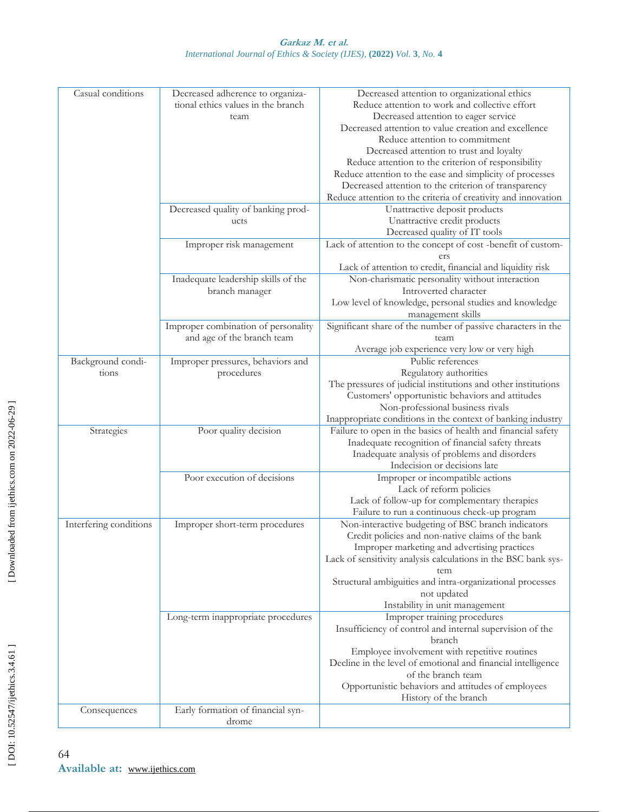#### **Garkaz M. et al.** *International Journal of Ethics & Society (IJES) ,* **(2022)** *Vol.*  **3***, No.* **4**

| Casual conditions      | Decreased adherence to organiza-                      | Decreased attention to organizational ethics                                                                     |
|------------------------|-------------------------------------------------------|------------------------------------------------------------------------------------------------------------------|
|                        | tional ethics values in the branch                    | Reduce attention to work and collective effort                                                                   |
|                        | team                                                  | Decreased attention to eager service                                                                             |
|                        |                                                       | Decreased attention to value creation and excellence                                                             |
|                        |                                                       | Reduce attention to commitment                                                                                   |
|                        |                                                       | Decreased attention to trust and loyalty                                                                         |
|                        |                                                       | Reduce attention to the criterion of responsibility                                                              |
|                        |                                                       |                                                                                                                  |
|                        |                                                       | Reduce attention to the ease and simplicity of processes<br>Decreased attention to the criterion of transparency |
|                        |                                                       | Reduce attention to the criteria of creativity and innovation                                                    |
|                        |                                                       |                                                                                                                  |
|                        | Decreased quality of banking prod-                    | Unattractive deposit products                                                                                    |
|                        | ucts                                                  | Unattractive credit products                                                                                     |
|                        |                                                       | Decreased quality of IT tools                                                                                    |
|                        | Improper risk management                              | Lack of attention to the concept of cost -benefit of custom-<br>ers                                              |
|                        |                                                       | Lack of attention to credit, financial and liquidity risk                                                        |
|                        | Inadequate leadership skills of the<br>branch manager | Non-charismatic personality without interaction<br>Introverted character                                         |
|                        |                                                       | Low level of knowledge, personal studies and knowledge                                                           |
|                        |                                                       | management skills                                                                                                |
|                        | Improper combination of personality                   | Significant share of the number of passive characters in the                                                     |
|                        | and age of the branch team                            | team                                                                                                             |
|                        |                                                       | Average job experience very low or very high                                                                     |
| Background condi-      | Improper pressures, behaviors and                     | Public references                                                                                                |
| tions                  | procedures                                            | Regulatory authorities                                                                                           |
|                        |                                                       | The pressures of judicial institutions and other institutions                                                    |
|                        |                                                       | Customers' opportunistic behaviors and attitudes                                                                 |
|                        |                                                       | Non-professional business rivals                                                                                 |
|                        |                                                       | Inappropriate conditions in the context of banking industry                                                      |
| Strategies             | Poor quality decision                                 | Failure to open in the basics of health and financial safety                                                     |
|                        |                                                       | Inadequate recognition of financial safety threats                                                               |
|                        |                                                       | Inadequate analysis of problems and disorders                                                                    |
|                        |                                                       | Indecision or decisions late                                                                                     |
|                        | Poor execution of decisions                           | Improper or incompatible actions                                                                                 |
|                        |                                                       | Lack of reform policies                                                                                          |
|                        |                                                       | Lack of follow-up for complementary therapies                                                                    |
|                        |                                                       | Failure to run a continuous check-up program                                                                     |
| Interfering conditions | Improper short-term procedures                        | Non-interactive budgeting of BSC branch indicators                                                               |
|                        |                                                       | Credit policies and non-native claims of the bank                                                                |
|                        |                                                       | Improper marketing and advertising practices                                                                     |
|                        |                                                       | Lack of sensitivity analysis calculations in the BSC bank sys-                                                   |
|                        |                                                       | tem                                                                                                              |
|                        |                                                       | Structural ambiguities and intra-organizational processes                                                        |
|                        |                                                       | not updated                                                                                                      |
|                        |                                                       | Instability in unit management                                                                                   |
|                        | Long-term inappropriate procedures                    | Improper training procedures                                                                                     |
|                        |                                                       | Insufficiency of control and internal supervision of the                                                         |
|                        |                                                       | branch                                                                                                           |
|                        |                                                       | Employee involvement with repetitive routines                                                                    |
|                        |                                                       | Decline in the level of emotional and financial intelligence<br>of the branch team                               |
|                        |                                                       | Opportunistic behaviors and attitudes of employees                                                               |
|                        |                                                       | History of the branch                                                                                            |
| Consequences           | Early formation of financial syn-                     |                                                                                                                  |
|                        | drome                                                 |                                                                                                                  |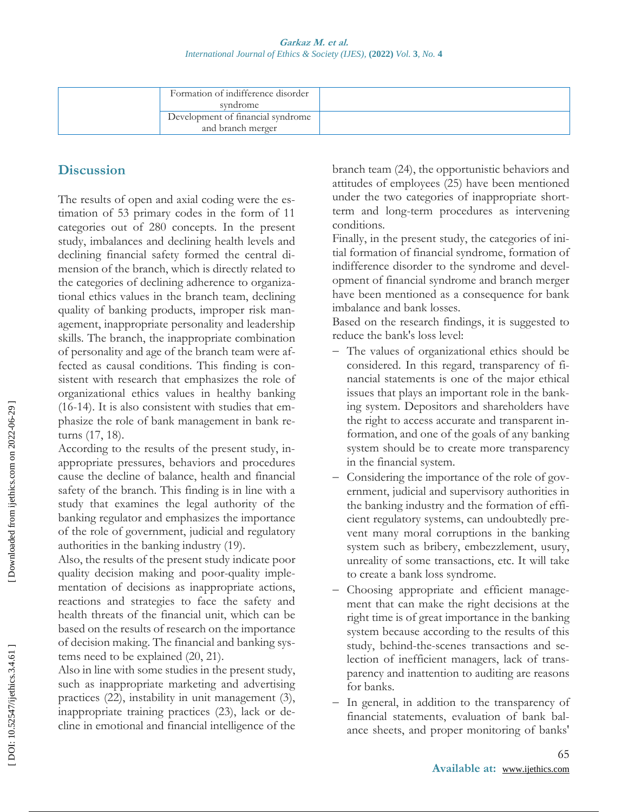#### **Garkaz M. et al.** *International Journal of Ethics & Society (IJES) ,* **(2022)** *Vol.* **3***, No.* **4**

| Formation of indifference disorder<br>syndrome         |  |
|--------------------------------------------------------|--|
| Development of financial syndrome<br>and branch merger |  |

# **Discussion**

The results of open and axial coding were the estimation of 53 primary codes in the form of 11 categories out of 280 concepts. In the present study, imbalances and declining health levels and declining financial safety formed the central dimension of the branch, which is directly related to the categories of declining adherence to organizational ethics values in the branch team, declining quality of banking products, improper risk management, inappropriate personality and leadership skills. The branch, the inappropriate combination of personality and age of the branch team were affected as causal conditions. This finding is consistent with research that emphasizes the role of organizational ethics values in healthy banking (16 -14). It is also consistent with studies that emphasize the role of bank management in bank returns (17, 18).

According to the results of the present study, inappropriate pressures, behaviors and procedures cause the decline of balance, health and financial safety of the branch. This finding is in line with a study that examines the legal authority of the banking regulator and emphasizes the importance of the role of government, judicial and regulatory authorities in the banking industry (19).

Also, the results of the present study indicate poor quality decision making and poor -quality implementation of decisions as inappropriate actions, reactions and strategies to face the safety and health threats of the financial unit, which can be based on the results of research on the importance of decision making. The financial and banking systems need to be explained (20, 21).

Also in line with some studies in the present study, such as inappropriate marketing and advertising practices (22), instability in unit management (3), inappropriate training practices (23), lack or decline in emotional and financial intelligence of the

branch team (24), the opportunistic behaviors and attitudes of employees (25) have been mentioned under the two categories of inappropriate short term and long -term procedures as intervening conditions.

Finally, in the present study, the categories of initial formation of financial syndrome, formation of indifference disorder to the syndrome and development of financial syndrome and branch merger have been mentioned as a consequence for bank imbalance and bank losses.

Based on the research findings, it is suggested to reduce the bank's loss level:

- The values of organizational ethics should be considered. In this regard, transparency of financial statements is one of the major ethical issues that plays an important role in the banking system. Depositors and shareholders have the right to access accurate and transparent information, and one of the goals of any banking system should be to create more transparency in the financial system.
- Considering the importance of the role of government, judicial and supervisory authorities in the banking industry and the formation of efficient regulatory systems, can undoubtedly prevent many moral corruptions in the banking system such as bribery, embezzlement, usury, unreality of some transactions, etc. It will take to create a bank loss syndrome.
- Choosing appropriate and efficient management that can make the right decisions at the right time is of great importance in the banking system because according to the results of this study, behind -the -scenes transactions and selection of inefficient managers, lack of transparency and inattention to auditing are reasons for banks.
- In general, in addition to the transparency of financial statements, evaluation of bank balance sheets, and proper monitoring of banks'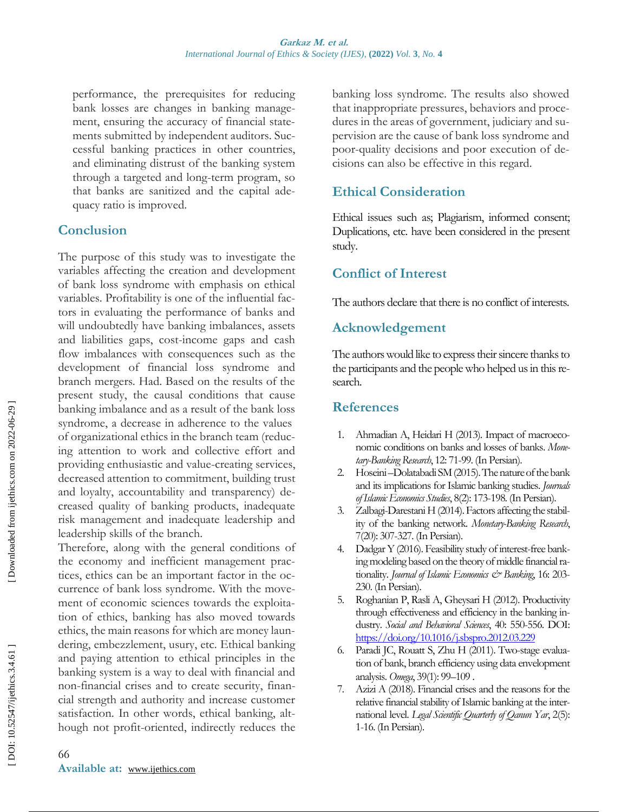performance, the prerequisites for reducing bank losses are changes in banking management, ensuring the accuracy of financial statements submitted by independent auditors. Successful banking practices in other countries, and eliminating distrust of the banking system through a targeted and long -term program, so that banks are sanitized and the capital adequacy ratio is improved.

### **Conclusion**

The purpose of this study was to investigate the variables affecting the creation and development of bank loss syndrome with emphasis on ethical variables. Profitability is one of the influential factors in evaluating the performance of banks and will undoubtedly have banking imbalances, assets and liabilities gaps, cost -income gaps and cash flow imbalances with consequences such as the development of financial loss syndrome and branch mergers. Had. Based on the results of the present study, the causal conditions that cause banking imbalance and as a result of the bank loss syndrome, a decrease in adherence to the values of organizational ethics in the branch team (reducing attention to work and collective effort and providing enthusiastic and value -creating services, decreased attention to commitment, building trust and loyalty, accountability and transparency) decreased quality of banking products, inadequate risk management and inadequate leadership and leadership skills of the branch.

Therefore, along with the general conditions of the economy and inefficient management practices, ethics can be an important factor in the occurrence of bank loss syndrome. With the movement of economic sciences towards the exploitation of ethics, banking has also moved towards ethics, the main reasons for which are money laundering, embezzlement, usury, etc. Ethical banking and paying attention to ethical principles in the banking system is a way to deal with financial and non -financial crises and to create security, financial strength and authority and increase customer satisfaction. In other words, ethical banking, although not profit-oriented, indirectly reduces the

banking loss syndrome. The results also showed that inappropriate pressures, behaviors and procedures in the areas of government, judiciary and supervision are the cause of bank loss syndrome and poor -quality decisions and poor execution of decisions can also be effective in this regard.

## **Ethical Consideration**

Ethical issues such as; Plagiarism, informed consent; Duplications, etc. have been considered in the present study .

### **Conflict of Interest**

The authors declare that there is no conflict of interests.

### **Acknowledgement**

The authors would like to express their sincere thanks to the participants and the people who helped us in this research.

### **References**

- 1. Ahmadian A, Heidari H (2013). Impact of macroeconomic conditions on banks and losses of banks. *Monetary-Banking Research*, 12: 71-99. (In Persian).
- 2. Hoseini –DolatabadiSM (2015). The nature of the bank and its implications for Islamic banking studies. *Journals of Islamic Economics Studies*, 8(2): 173 -198. (In Persian).
- 3. . Zalbagi-Darestani H (2014). Factors affecting the stability of the banking network. *Monetary-Banking Research*, 7(20): 307 -327. (In Persian).
- 4 . Dadgar Y (2016). Feasibility study of interest-free banking modeling based on the theory of middle financial rationality. *Journal of Islamic Economics & Banking*, 16: 203- 230. (In Persian).
- 5 . Roghanian P, Rasli A, Gheysari H (2012). Productivity through effectiveness and efficiency in the banking industry. *Social and Behavioral Sciences*, 40: 550-556. DOI: <https://doi.org/10.1016/j.sbspro.2012.03.229>
- 6 . Paradi JC, Rouatt S, Zhu H (2011). Two -stage evaluation of bank, branch efficiency using data envelopment analysis. *Omega*, 39(1) : 99–109 .
- 7 . Azizi A (2018). Financial crises and the reasons for the relative financial stability of Islamic banking at the international level. *Legal Scientific Quarterly of Qanun Yar*, 2(5): 1-16. (In Persian).